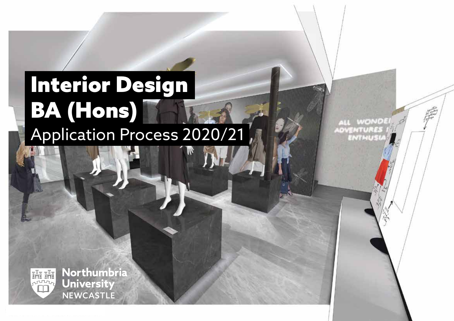# Interior Design BA (Hons) Application Process 2020/21

**WOND!** ADVENTURES **ENTHUSI** 



Northumbria **University NEWCASTLE**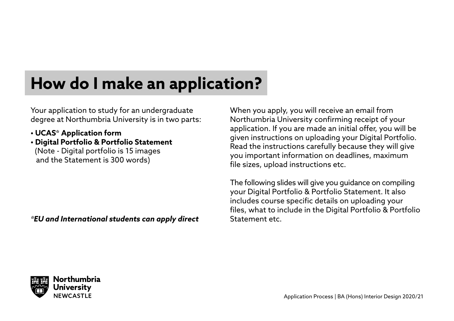### **How do I make an application?**

Your application to study for an undergraduate degree at Northumbria University is in two parts:

- **UCAS\* Application form**
- **Digital Portfolio & Portfolio Statement** (Note - Digital portfolio is 15 images and the Statement is 300 words)

*\*EU and International students can apply direct*

When you apply, you will receive an email from Northumbria University confirming receipt of your application. If you are made an initial offer, you will be given instructions on uploading your Digital Portfolio. Read the instructions carefully because they will give you important information on deadlines, maximum file sizes, upload instructions etc.

The following slides will give you guidance on compiling your Digital Portfolio & Portfolio Statement. It also includes course specific details on uploading your files, what to include in the Digital Portfolio & Portfolio Statement etc.



Application Process | BA (Hons) Interior Design 2020/21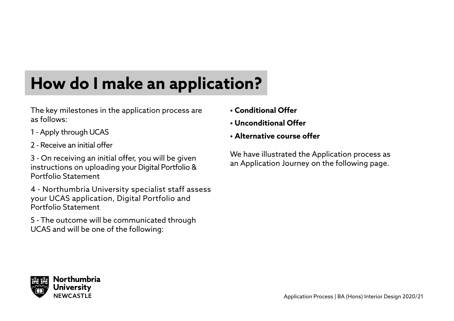## **How do I make an application?**

The key milestones in the application process are as follows:

- 1 Apply through UCAS
- 2 Receive an initial offer

3 - On receiving an initial offer, you will be given instructions on uploading your Digital Portfolio & Portfolio Statement

4 - Northumbria University specialist staff assess your UCAS application, Digital Portfolio and Portfolio Statement

5 - The outcome will be communicated through UCAS and will be one of the following:

- **Conditional Offer**
- **Unconditional Offer**
- **Alternative course offer**

We have illustrated the Application process as an Application Journey on the following page.

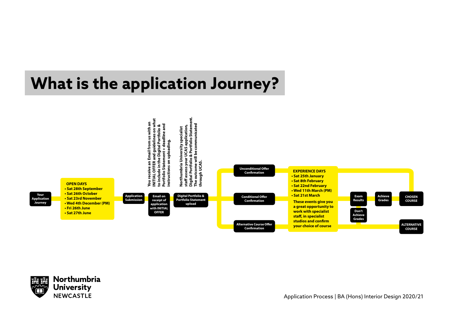### **What is the application Journey?**





Application Process | BA (Hons) Interior Design 2020/21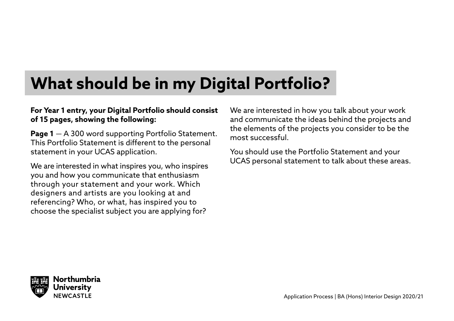### **What should be in my Digital Portfolio?**

#### **For Year 1 entry, your Digital Portfolio should consist of 15 pages, showing the following:**

**Page 1** — A 300 word supporting Portfolio Statement. This Portfolio Statement is different to the personal statement in your UCAS application.

We are interested in what inspires you, who inspires you and how you communicate that enthusiasm through your statement and your work. Which designers and artists are you looking at and referencing? Who, or what, has inspired you to choose the specialist subject you are applying for?

We are interested in how you talk about your work and communicate the ideas behind the projects and the elements of the projects you consider to be the most successful.

You should use the Portfolio Statement and your UCAS personal statement to talk about these areas.

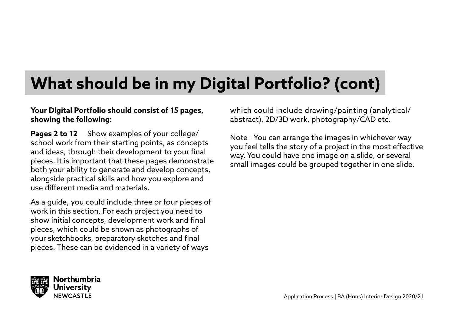### **What should be in my Digital Portfolio? (cont)**

#### **Your Digital Portfolio should consist of 15 pages, showing the following:**

**Pages 2 to 12** — Show examples of your college/ school work from their starting points, as concepts and ideas, through their development to your final pieces. It is important that these pages demonstrate both your ability to generate and develop concepts, alongside practical skills and how you explore and use different media and materials.

As a guide, you could include three or four pieces of work in this section. For each project you need to show initial concepts, development work and final pieces, which could be shown as photographs of your sketchbooks, preparatory sketches and final pieces. These can be evidenced in a variety of ways

which could include drawing/painting (analytical/ abstract), 2D/3D work, photography/CAD etc.

Note - You can arrange the images in whichever way you feel tells the story of a project in the most effective way. You could have one image on a slide, or several small images could be grouped together in one slide.

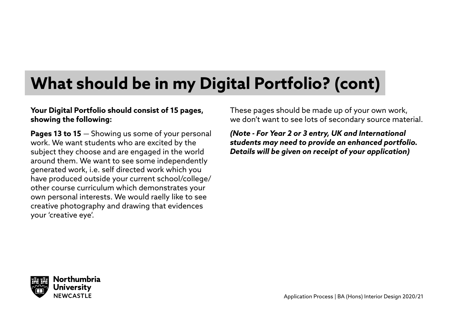### **What should be in my Digital Portfolio? (cont)**

#### **Your Digital Portfolio should consist of 15 pages, showing the following:**

**Pages 13 to 15** — Showing us some of your personal work. We want students who are excited by the subject they choose and are engaged in the world around them. We want to see some independently generated work, i.e. self directed work which you have produced outside your current school/college/ other course curriculum which demonstrates your own personal interests. We would raelly like to see creative photography and drawing that evidences your 'creative eye'.

These pages should be made up of your own work, we don't want to see lots of secondary source material.

*(Note - For Year 2 or 3 entry, UK and International students may need to provide an enhanced portfolio. Details will be given on receipt of your application)*

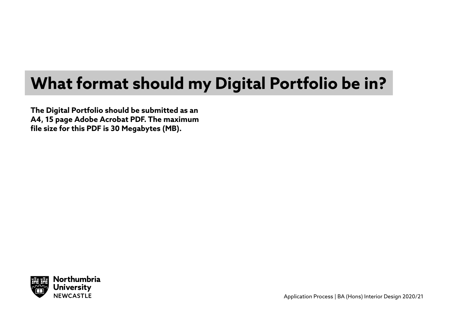### **What format should my Digital Portfolio be in?**

**The Digital Portfolio should be submitted as an A4, 15 page Adobe Acrobat PDF. The maximum file size for this PDF is 30 Megabytes (MB).**

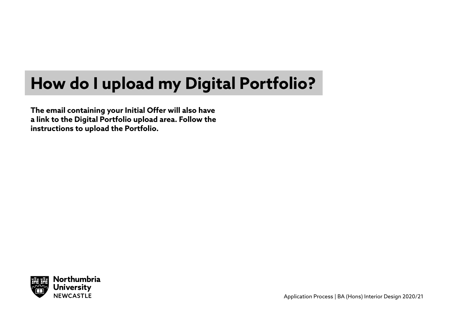### **How do I upload my Digital Portfolio?**

**The email containing your Initial Offer will also have a link to the Digital Portfolio upload area. Follow the instructions to upload the Portfolio.** 

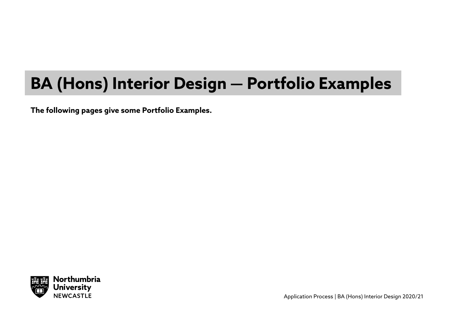### **BA (Hons) Interior Design — Portfolio Examples**

**The following pages give some Portfolio Examples.** 



Application Process | BA (Hons) Interior Design 2020/21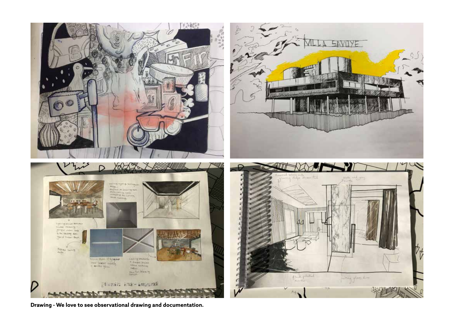

**Drawing - We love to see observational drawing and documentation.**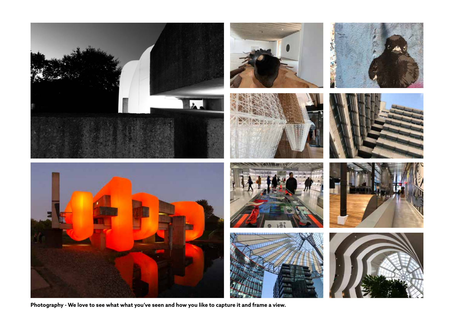

**Photography - We love to see what what you've seen and how you like to capture it and frame a view.**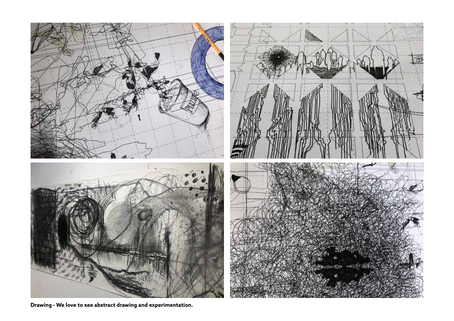

**Drawing - We love to see abstract drawing and experimentation.**